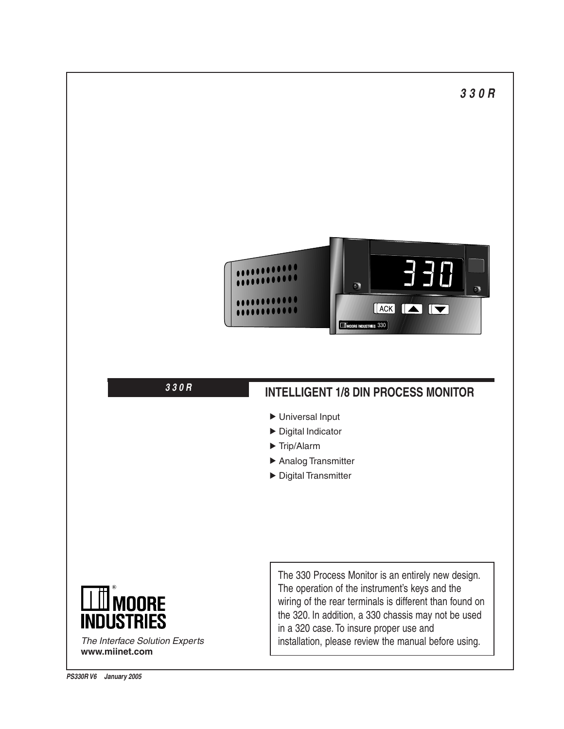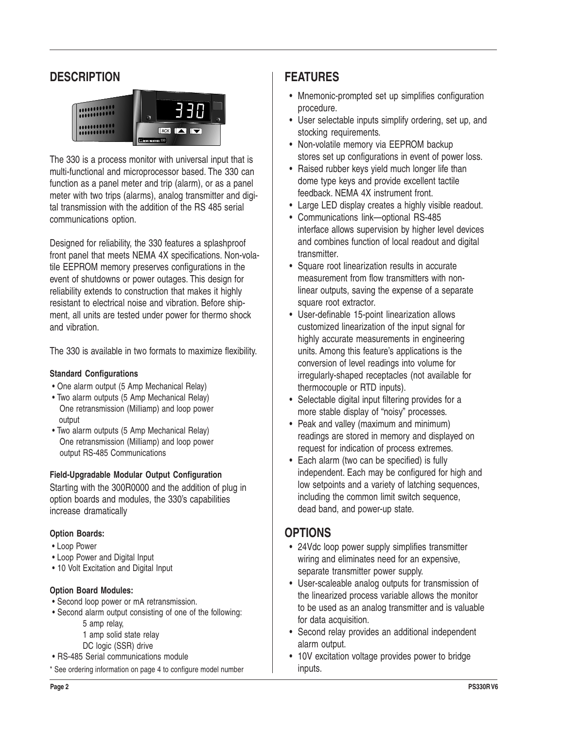# **DESCRIPTION**



The 330 is a process monitor with universal input that is multi-functional and microprocessor based. The 330 can function as a panel meter and trip (alarm), or as a panel meter with two trips (alarms), analog transmitter and digital transmission with the addition of the RS 485 serial communications option.

Designed for reliability, the 330 features a splashproof front panel that meets NEMA 4X specifications. Non-volatile EEPROM memory preserves configurations in the event of shutdowns or power outages. This design for reliability extends to construction that makes it highly resistant to electrical noise and vibration. Before shipment, all units are tested under power for thermo shock and vibration.

The 330 is available in two formats to maximize flexibility.

## **Standard Configurations**

- One alarm output (5 Amp Mechanical Relay)
- Two alarm outputs (5 Amp Mechanical Relay) One retransmission (Milliamp) and loop power output
- Two alarm outputs (5 Amp Mechanical Relay) One retransmission (Milliamp) and loop power output RS-485 Communications

## **Field-Upgradable Modular Output Configuration**

Starting with the 300R0000 and the addition of plug in option boards and modules, the 330's capabilities increase dramatically

## **Option Boards:**

- Loop Power
- Loop Power and Digital Input
- 10 Volt Excitation and Digital Input

## **Option Board Modules:**

- Second loop power or mA retransmission.
- Second alarm output consisting of one of the following:
	- 5 amp relay,
	- 1 amp solid state relay
	- DC logic (SSR) drive
- RS-485 Serial communications module
- \* See ordering information on page 4 to configure model number

# **FEATURES**

- Mnemonic-prompted set up simplifies configuration procedure.
- User selectable inputs simplify ordering, set up, and stocking requirements.
- Non-volatile memory via EEPROM backup stores set up configurations in event of power loss.
- Raised rubber keys yield much longer life than dome type keys and provide excellent tactile feedback. NEMA 4X instrument front.
- Large LED display creates a highly visible readout.
- Communications link—optional RS-485 interface allows supervision by higher level devices and combines function of local readout and digital transmitter.
- Square root linearization results in accurate measurement from flow transmitters with nonlinear outputs, saving the expense of a separate square root extractor.
- User-definable 15-point linearization allows customized linearization of the input signal for highly accurate measurements in engineering units. Among this feature's applications is the conversion of level readings into volume for irregularly-shaped receptacles (not available for thermocouple or RTD inputs).
- Selectable digital input filtering provides for a more stable display of "noisy" processes.
- Peak and valley (maximum and minimum) readings are stored in memory and displayed on request for indication of process extremes.
- Each alarm (two can be specified) is fully independent. Each may be configured for high and low setpoints and a variety of latching sequences, including the common limit switch sequence, dead band, and power-up state.

# **OPTIONS**

- 24Vdc loop power supply simplifies transmitter wiring and eliminates need for an expensive, separate transmitter power supply.
- User-scaleable analog outputs for transmission of the linearized process variable allows the monitor to be used as an analog transmitter and is valuable for data acquisition.
- Second relay provides an additional independent alarm output.
- 10V excitation voltage provides power to bridge inputs.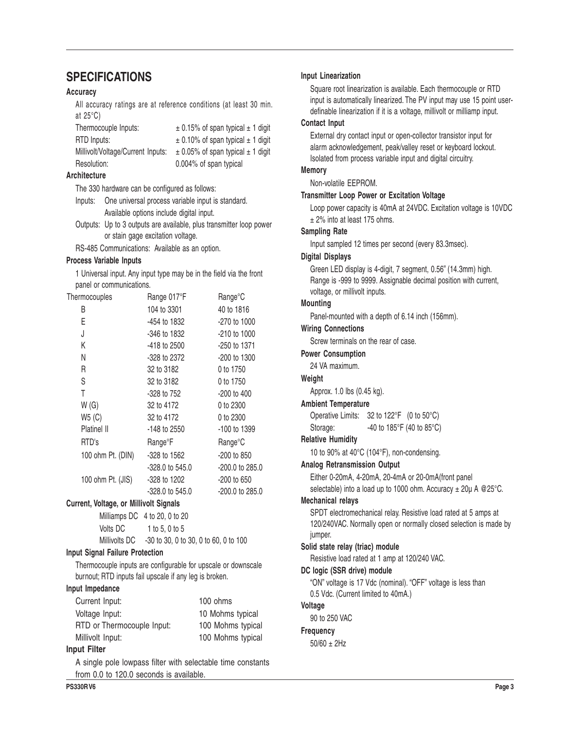# **SPECIFICATIONS**

### **Accuracy**

All accuracy ratings are at reference conditions (at least 30 min. at 25°C)

| Thermocouple Inputs:              | $\pm$ 0.15% of span typical $\pm$ 1 digit |
|-----------------------------------|-------------------------------------------|
| RTD Inputs:                       | $\pm$ 0.10% of span typical $\pm$ 1 digit |
| Millivolt/Voltage/Current Inputs: | $\pm$ 0.05% of span typical $\pm$ 1 digit |
| Resolution:                       | 0.004% of span typical                    |

#### **Architecture**

The 330 hardware can be configured as follows:

Inputs: One universal process variable input is standard. Available options include digital input.

Outputs: Up to 3 outputs are available, plus transmitter loop power or stain gage excitation voltage.

RS-485 Communications: Available as an option.

#### **Process Variable Inputs**

1 Universal input. Any input type may be in the field via the front panel or communications.

| Thermocouples     | Range 017°F                 | Range <sup>°</sup> C |
|-------------------|-----------------------------|----------------------|
| B                 | 104 to 3301                 | 40 to 1816           |
| Е                 | -454 to 1832                | -270 to 1000         |
| J                 | -346 to 1832                | $-210$ to $1000$     |
| Κ                 | -418 to 2500                | -250 to 1371         |
| Ν                 | -328 to 2372                | -200 to 1300         |
| R                 | 32 to 3182                  | 0 to 1750            |
| S                 | 32 to 3182                  | 0 to 1750            |
| Τ                 | -328 to 752                 | $-200$ to 400        |
| W(G)              | 32 to 4172                  | 0 to 2300            |
| W5(C)             | 32 to 4172                  | 0 to 2300            |
| Platinel II       | $-148$ to 2550              | -100 to 1399         |
| RTD's             | <b>Range</b> <sup>°</sup> F | Range <sup>o</sup> C |
| 100 ohm Pt. (DIN) | $-328$ to 1562              | -200 to 850          |
|                   | -328.0 to 545.0             | -200.0 to 285.0      |
| 100 ohm Pt. (JIS) | -328 to 1202                | $-200$ to 650        |
|                   | $-328.0$ to 545.0           | -200.0 to 285.0      |
|                   |                             |                      |

#### **Current, Voltage, or Millivolt Signals**

|               | Milliamps DC 4 to 20, 0 to 20         |
|---------------|---------------------------------------|
| Volts DC      | 1 to 5, 0 to 5                        |
| Millivolts DC | -30 to 30, 0 to 30, 0 to 60, 0 to 100 |

#### **Input Signal Failure Protection**

Thermocouple inputs are configurable for upscale or downscale burnout; RTD inputs fail upscale if any leg is broken.

#### **Input Impedance**

| Current Input:             | 100 ohms          |
|----------------------------|-------------------|
| Voltage Input:             | 10 Mohms typical  |
| RTD or Thermocouple Input: | 100 Mohms typical |
| Millivolt Input:           | 100 Mohms typical |
| Input Filter               |                   |

A single pole lowpass filter with selectable time constants from 0.0 to 120.0 seconds is available.

#### **Input Linearization**

Square root linearization is available. Each thermocouple or RTD input is automatically linearized. The PV input may use 15 point userdefinable linearization if it is a voltage, millivolt or milliamp input.

### **Contact Input**

External dry contact input or open-collector transistor input for alarm acknowledgement, peak/valley reset or keyboard lockout. Isolated from process variable input and digital circuitry.

#### **Memory**

Non-volatile EEPROM.

#### **Transmitter Loop Power or Excitation Voltage**

Loop power capacity is 40mA at 24VDC. Excitation voltage is 10VDC ± 2% into at least 175 ohms.

#### **Sampling Rate**

Input sampled 12 times per second (every 83.3msec).

#### **Digital Displays**

Green LED display is 4-digit, 7 segment, 0.56" (14.3mm) high. Range is -999 to 9999. Assignable decimal position with current, voltage, or millivolt inputs.

### **Mounting**

Panel-mounted with a depth of 6.14 inch (156mm).

## **Wiring Connections**

Screw terminals on the rear of case.

#### **Power Consumption**

24 VA maximum.

## **Weight**

Approx. 1.0 lbs (0.45 kg).

### **Ambient Temperature**

Operative Limits: 32 to 122°F (0 to 50°C)

Storage:  $-40$  to 185°F (40 to 85°C)

### **Relative Humidity**

10 to 90% at 40°C (104°F), non-condensing.

#### **Analog Retransmission Output**

Either 0-20mA, 4-20mA, 20-4mA or 20-0mA(front panel selectable) into a load up to 1000 ohm. Accuracy  $\pm$  20µ A @25°C.

#### **Mechanical relays**

SPDT electromechanical relay. Resistive load rated at 5 amps at 120/240VAC. Normally open or normally closed selection is made by jumper.

#### **Solid state relay (triac) module**

Resistive load rated at 1 amp at 120/240 VAC.

#### **DC logic (SSR drive) module**

"ON" voltage is 17 Vdc (nominal). "OFF" voltage is less than 0.5 Vdc. (Current limited to 40mA.)

## **Voltage**

90 to 250 VAC

#### **Frequency**

50/60 ± 2Hz